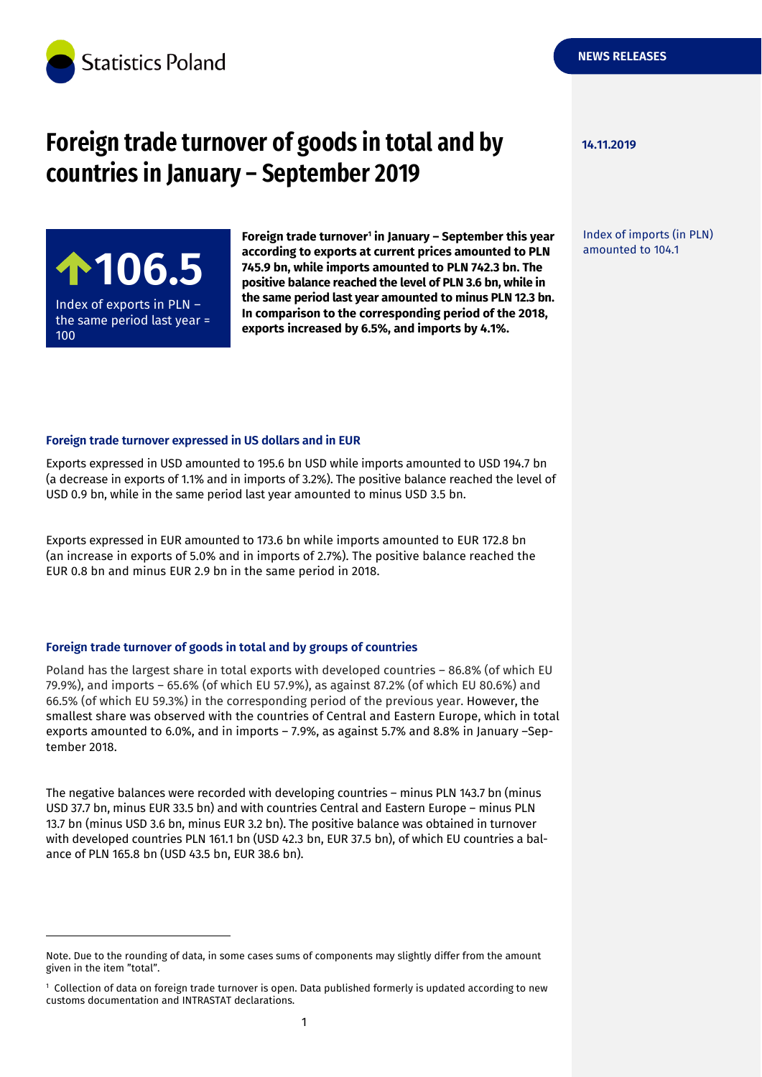

# **Foreign trade turnover of goods in total and by 14.11.2019 countries in January – September 2019**

Index of exports in PLN – the same period last year = 100

-

**Foreign trade turnover<sup>1</sup> in January – September this year according to exports at current prices amounted to PLN 745.9 bn, while imports amounted to PLN 742.3 bn. The positive balance reached the level of PLN 3.6 bn, while in the same period last year amounted to minus PLN 12.3 bn. In comparison to the corresponding period of the 2018, exports increased by 6.5%, and imports by 4.1%.** according to exports at current prices amounted to PLN amounted to 104.1<br> **106.5 1 145.9 bn, while imports amounted to PLN 742.3 bn. The positive balance reached the level of PLN 3.6 bn, while in** 

**NEWS RELEASES**

Index of imports (in PLN)

#### **Foreign trade turnover expressed in US dollars and in EUR**

Exports expressed in USD amounted to 195.6 bn USD while imports amounted to USD 194.7 bn (a decrease in exports of 1.1% and in imports of 3.2%). The positive balance reached the level of USD 0.9 bn, while in the same period last year amounted to minus USD 3.5 bn.

Exports expressed in EUR amounted to 173.6 bn while imports amounted to EUR 172.8 bn (an increase in exports of 5.0% and in imports of 2.7%). The positive balance reached the EUR 0.8 bn and minus EUR 2.9 bn in the same period in 2018.

#### **Foreign trade turnover of goods in total and by groups of countries**

Poland has the largest share in total exports with developed countries – 86.8% (of which EU 79.9%), and imports – 65.6% (of which EU 57.9%), as against 87.2% (of which EU 80.6%) and 66.5% (of which EU 59.3%) in the corresponding period of the previous year. However, the smallest share was observed with the countries of Central and Eastern Europe, which in total exports amounted to 6.0%, and in imports – 7.9%, as against 5.7% and 8.8% in January –September 2018.

The negative balances were recorded with developing countries – minus PLN 143.7 bn (minus USD 37.7 bn, minus EUR 33.5 bn) and with countries Central and Eastern Europe – minus PLN 13.7 bn (minus USD 3.6 bn, minus EUR 3.2 bn). The positive balance was obtained in turnover with developed countries PLN 161.1 bn (USD 42.3 bn, EUR 37.5 bn), of which EU countries a balance of PLN 165.8 bn (USD 43.5 bn, EUR 38.6 bn).

Note. Due to the rounding of data, in some cases sums of components may slightly differ from the amount given in the item "total".

<sup>1</sup> Collection of data on foreign trade turnover is open. Data published formerly is updated according to new customs documentation and INTRASTAT declarations.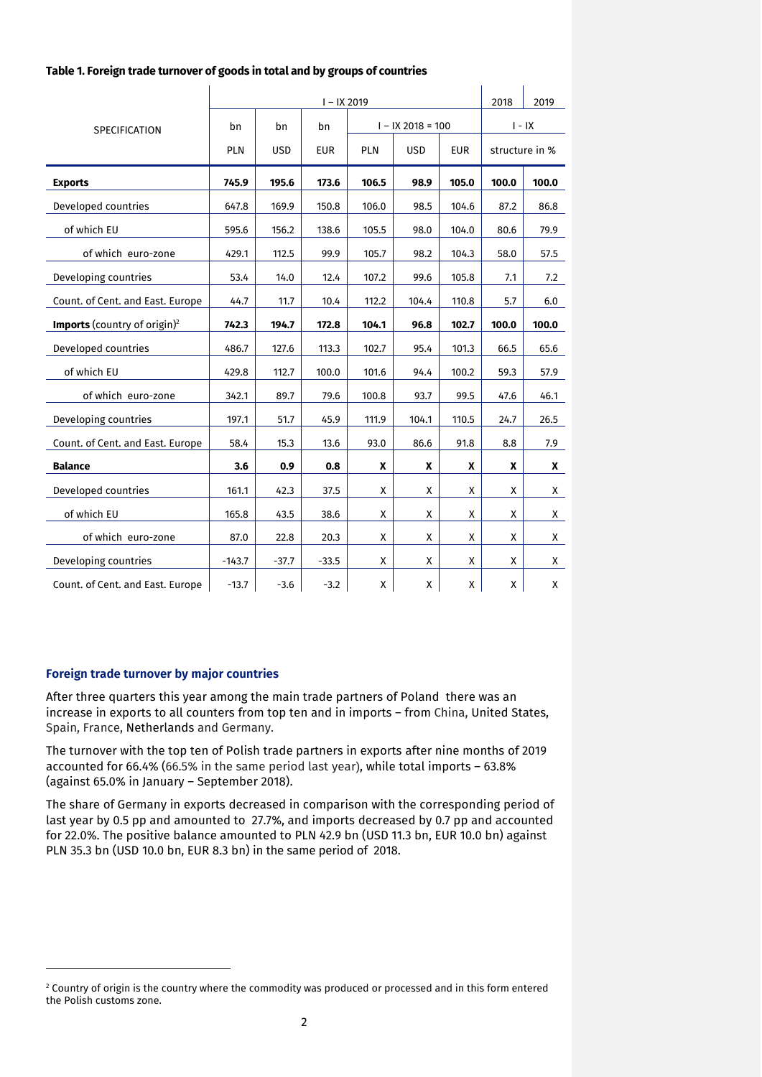|                                                 | $I - IX 2019$ |                                 |            |       |            |            |                | 2019  |
|-------------------------------------------------|---------------|---------------------------------|------------|-------|------------|------------|----------------|-------|
| SPECIFICATION                                   | bn            | $I - IX 2018 = 100$<br>bn<br>bn |            |       |            | $I - IX$   |                |       |
|                                                 | PLN           | <b>USD</b>                      | <b>EUR</b> | PLN   | <b>USD</b> | <b>EUR</b> | structure in % |       |
| <b>Exports</b>                                  | 745.9         | 195.6                           | 173.6      | 106.5 | 98.9       | 105.0      | 100.0          | 100.0 |
| Developed countries                             | 647.8         | 169.9                           | 150.8      | 106.0 | 98.5       | 104.6      | 87.2           | 86.8  |
| of which EU                                     | 595.6         | 156.2                           | 138.6      | 105.5 | 98.0       | 104.0      | 80.6           | 79.9  |
| of which euro-zone                              | 429.1         | 112.5                           | 99.9       | 105.7 | 98.2       | 104.3      | 58.0           | 57.5  |
| Developing countries                            | 53.4          | 14.0                            | 12.4       | 107.2 | 99.6       | 105.8      | 7.1            | 7.2   |
| Count. of Cent. and East. Europe                | 44.7          | 11.7                            | 10.4       | 112.2 | 104.4      | 110.8      | 5.7            | 6.0   |
| <b>Imports</b> (country of origin) <sup>2</sup> | 742.3         | 194.7                           | 172.8      | 104.1 | 96.8       | 102.7      | 100.0          | 100.0 |
| Developed countries                             | 486.7         | 127.6                           | 113.3      | 102.7 | 95.4       | 101.3      | 66.5           | 65.6  |
| of which EU                                     | 429.8         | 112.7                           | 100.0      | 101.6 | 94.4       | 100.2      | 59.3           | 57.9  |
| of which euro-zone                              | 342.1         | 89.7                            | 79.6       | 100.8 | 93.7       | 99.5       | 47.6           | 46.1  |
| Developing countries                            | 197.1         | 51.7                            | 45.9       | 111.9 | 104.1      | 110.5      | 24.7           | 26.5  |
| Count. of Cent. and East. Europe                | 58.4          | 15.3                            | 13.6       | 93.0  | 86.6       | 91.8       | 8.8            | 7.9   |
| <b>Balance</b>                                  | 3.6           | 0.9                             | 0.8        | X     | X          | X          | X              | X     |
| Developed countries                             | 161.1         | 42.3                            | 37.5       | X     | X          | X          | X              | X     |
| of which EU                                     | 165.8         | 43.5                            | 38.6       | X     | X          | X          | X              | Χ     |
| of which euro-zone                              | 87.0          | 22.8                            | 20.3       | X     | X          | X          | X              | X     |
| Developing countries                            | $-143.7$      | $-37.7$                         | $-33.5$    | X     | X          | X          | Χ              | Χ     |
| Count. of Cent. and East. Europe                | $-13.7$       | $-3.6$                          | $-3.2$     | X     | X          | X          | X              | X     |

 $\mathbf{I}$ 

 $\mathbf{I}$ 

#### **Table 1. Foreign trade turnover of goods in total and by groups of countries**

 $\mathbf{I}$ 

#### **Foreign trade turnover by major countries**

-

After three quarters this year among the main trade partners of Poland there was an increase in exports to all counters from top ten and in imports – from China, United States, Spain, France, Netherlands and Germany.

The turnover with the top ten of Polish trade partners in exports after nine months of 2019 accounted for 66.4% (66.5% in the same period last year), while total imports – 63.8% (against 65.0% in January – September 2018).

The share of Germany in exports decreased in comparison with the corresponding period of last year by 0.5 pp and amounted to 27.7%, and imports decreased by 0.7 pp and accounted for 22.0%. The positive balance amounted to PLN 42.9 bn (USD 11.3 bn, EUR 10.0 bn) against PLN 35.3 bn (USD 10.0 bn, EUR 8.3 bn) in the same period of 2018.

 $2$  Country of origin is the country where the commodity was produced or processed and in this form entered the Polish customs zone.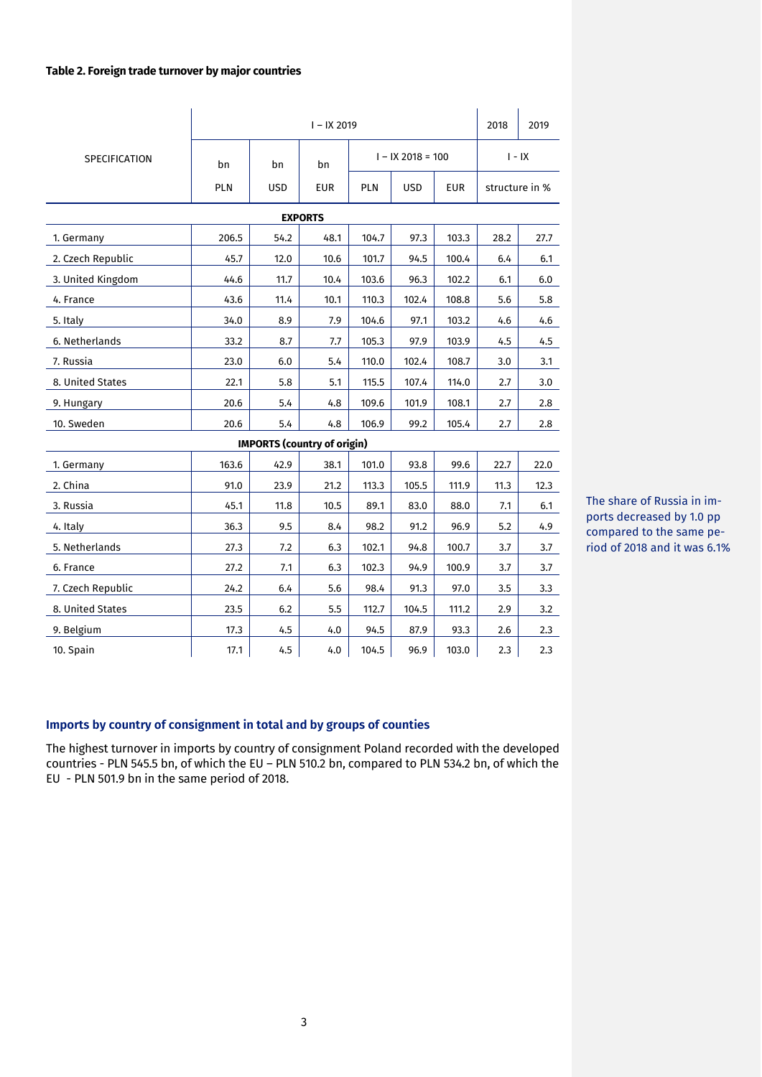#### **Table 2. Foreign trade turnover by major countries**

|                                                                      | $I - IX 2019$ |                                    |            |            |                          |          |                | 2019 |  |
|----------------------------------------------------------------------|---------------|------------------------------------|------------|------------|--------------------------|----------|----------------|------|--|
| <b>SPECIFICATION</b>                                                 | bn            | bn                                 | bn         |            | $I - IX 2018 = 100$      | $I - IX$ |                |      |  |
|                                                                      | PLN           | USD                                | <b>EUR</b> | <b>PLN</b> | <b>USD</b><br><b>EUR</b> |          | structure in % |      |  |
| <b>EXPORTS</b>                                                       |               |                                    |            |            |                          |          |                |      |  |
| 1. Germany                                                           | 206.5         | 54.2                               | 48.1       | 104.7      | 97.3                     | 103.3    | 28.2           | 27.7 |  |
| 2. Czech Republic                                                    | 45.7          | 12.0                               | 10.6       | 101.7      | 94.5                     | 100.4    | 6.4            | 6.1  |  |
| 3. United Kingdom                                                    | 44.6          | 11.7                               | 10.4       | 103.6      | 96.3                     | 102.2    | 6.1            | 6.0  |  |
| 4. France                                                            | 43.6          | 11.4                               | 10.1       | 110.3      | 102.4                    | 108.8    | 5.6            | 5.8  |  |
| 5. Italy                                                             | 34.0          | 8.9                                | 7.9        | 104.6      | 97.1                     | 103.2    | 4.6            | 4.6  |  |
| 6. Netherlands                                                       | 33.2          | 8.7                                | 7.7        | 105.3      | 97.9                     | 103.9    | 4.5            | 4.5  |  |
| 7. Russia                                                            | 23.0          | 6.0                                | 5.4        | 110.0      | 102.4                    | 108.7    | 3.0            | 3.1  |  |
| 8. United States                                                     | 22.1          | 5.8                                | 5.1        | 115.5      | 107.4                    | 114.0    | 2.7            | 3.0  |  |
| 9. Hungary                                                           | 20.6          | 5.4                                | 4.8        | 109.6      | 101.9                    | 108.1    | 2.7            | 2.8  |  |
| 10. Sweden                                                           | 20.6          | 5.4                                | 4.8        | 106.9      | 99.2                     | 105.4    | 2.7            | 2.8  |  |
|                                                                      |               | <b>IMPORTS (country of origin)</b> |            |            |                          |          |                |      |  |
| 163.6<br>42.9<br>38.1<br>101.0<br>93.8<br>99.6<br>22.7<br>1. Germany |               |                                    |            |            |                          |          |                | 22.0 |  |
| 2. China                                                             | 91.0          | 23.9                               | 21.2       | 113.3      | 105.5                    | 111.9    | 11.3           | 12.3 |  |
| 3. Russia                                                            | 45.1          | 11.8                               | 10.5       | 89.1       | 83.0                     | 88.0     | 7.1            | 6.1  |  |
| 4. Italy                                                             | 36.3          | 9.5                                | 8.4        | 98.2       | 91.2                     | 96.9     | 5.2            | 4.9  |  |
| 5. Netherlands                                                       | 27.3          | 7.2                                | 6.3        | 102.1      | 94.8                     | 100.7    | 3.7            | 3.7  |  |
| 6. France                                                            | 27.2          | 7.1                                | 6.3        | 102.3      | 94.9                     | 100.9    | 3.7            | 3.7  |  |
| 7. Czech Republic                                                    | 24.2          | 6.4                                | 5.6        | 98.4       | 91.3                     | 97.0     | 3.5            | 3.3  |  |
| 8. United States                                                     | 23.5          | 6.2                                | 5.5        | 112.7      | 104.5                    | 111.2    | 2.9            | 3.2  |  |
| 9. Belgium                                                           | 17.3          | 4.5                                | 4.0        | 94.5       | 87.9                     | 93.3     | 2.6            | 2.3  |  |
| 10. Spain                                                            | 17.1          | 4.5                                | 4.0        | 104.5      | 96.9                     | 103.0    | 2.3            | 2.3  |  |

The share of Russia in imports decreased by 1.0 pp compared to the same period of 2018 and it was 6.1%

## **Imports by country of consignment in total and by groups of counties**

The highest turnover in imports by country of consignment Poland recorded with the developed countries - PLN 545.5 bn, of which the EU – PLN 510.2 bn, compared to PLN 534.2 bn, of which the EU - PLN 501.9 bn in the same period of 2018.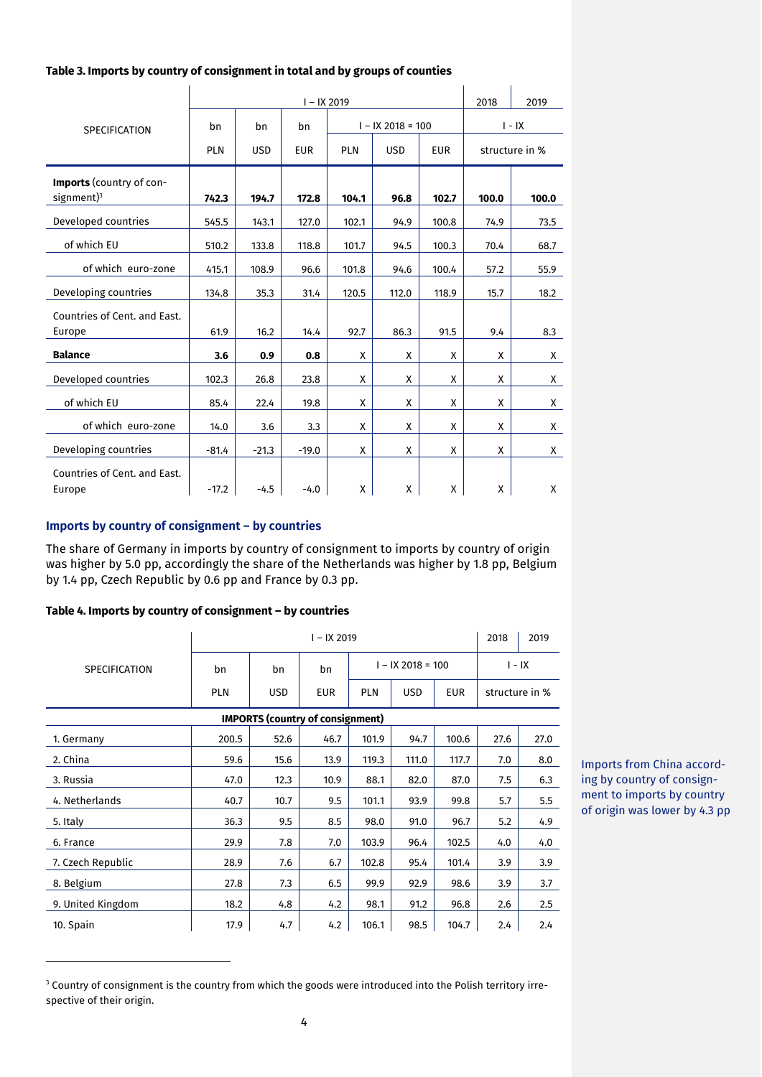| Table 3. Imports by country of consignment in total and by groups of counties |  |  |
|-------------------------------------------------------------------------------|--|--|
|                                                                               |  |  |

|                                                     |            | 2018       | 2019       |            |                     |            |          |                |  |
|-----------------------------------------------------|------------|------------|------------|------------|---------------------|------------|----------|----------------|--|
| <b>SPECIFICATION</b>                                | bn         | bn         | bn         |            | $I - IX 2018 = 100$ |            | $I - IX$ |                |  |
|                                                     | <b>PLN</b> | <b>USD</b> | <b>EUR</b> | <b>PLN</b> | <b>USD</b>          | <b>EUR</b> |          | structure in % |  |
| Imports (country of con-<br>$signment$ <sup>3</sup> | 742.3      | 194.7      | 172.8      | 104.1      | 96.8                | 102.7      | 100.0    | 100.0          |  |
| Developed countries                                 | 545.5      | 143.1      | 127.0      | 102.1      | 94.9                | 100.8      | 74.9     | 73.5           |  |
| of which EU                                         | 510.2      | 133.8      | 118.8      | 101.7      | 94.5                | 100.3      | 70.4     | 68.7           |  |
| of which euro-zone                                  | 415.1      | 108.9      | 96.6       | 101.8      | 94.6                | 100.4      | 57.2     | 55.9           |  |
| Developing countries                                | 134.8      | 35.3       | 31.4       | 120.5      | 112.0               | 118.9      | 15.7     | 18.2           |  |
| Countries of Cent. and East.                        |            |            |            |            |                     |            |          |                |  |
| Europe                                              | 61.9       | 16.2       | 14.4       | 92.7       | 86.3                | 91.5       | 9.4      | 8.3            |  |
| <b>Balance</b>                                      | 3.6        | 0.9        | 0.8        | X          | X                   | X          | X        | X              |  |
| Developed countries                                 | 102.3      | 26.8       | 23.8       | X          | X                   | X          | X        | X              |  |
| of which EU                                         | 85.4       | 22.4       | 19.8       | X          | X                   | X          | X        | X              |  |
| of which euro-zone                                  | 14.0       | 3.6        | 3.3        | X          | X                   | X          | X        | X              |  |
| Developing countries                                | $-81.4$    | $-21.3$    | $-19.0$    | X          | X                   | X          | X        | X              |  |
| Countries of Cent. and East.<br>Europe              | $-17.2$    | $-4.5$     | $-4.0$     | X          | X                   | X          | X        | X              |  |

## **Imports by country of consignment – by countries**

The share of Germany in imports by country of consignment to imports by country of origin was higher by 5.0 pp, accordingly the share of the Netherlands was higher by 1.8 pp, Belgium by 1.4 pp, Czech Republic by 0.6 pp and France by 0.3 pp.

#### **Table 4. Imports by country of consignment – by countries**

-

|                      | $I - IX 2019$ |                                         |            |                                 |          |                |      | 2019 |
|----------------------|---------------|-----------------------------------------|------------|---------------------------------|----------|----------------|------|------|
| <b>SPECIFICATION</b> | bn            | $I - IX 2018 = 100$<br>bn<br>bn         |            |                                 | $I - IX$ |                |      |      |
|                      | <b>PLN</b>    | <b>USD</b>                              | <b>EUR</b> | <b>PLN</b><br><b>USD</b><br>EUR |          | structure in % |      |      |
|                      |               | <b>IMPORTS (country of consignment)</b> |            |                                 |          |                |      |      |
| 1. Germany           | 200.5         | 52.6                                    | 46.7       | 101.9                           | 94.7     | 100.6          | 27.6 | 27.0 |
| 2. China             | 59.6          | 15.6                                    | 13.9       | 119.3                           | 111.0    | 117.7          | 7.0  | 8.0  |
| 3. Russia            | 47.0          | 12.3                                    | 10.9       | 88.1                            | 82.0     | 87.0           | 7.5  | 6.3  |
| 4. Netherlands       | 40.7          | 10.7                                    | 9.5        | 101.1                           | 93.9     | 99.8           | 5.7  | 5.5  |
| 5. Italy             | 36.3          | 9.5                                     | 8.5        | 98.0                            | 91.0     | 96.7           | 5.2  | 4.9  |
| 6. France            | 29.9          | 7.8                                     | 7.0        | 103.9                           | 96.4     | 102.5          | 4.0  | 4.0  |
| 7. Czech Republic    | 28.9          | 7.6                                     | 6.7        | 102.8                           | 95.4     | 101.4          | 3.9  | 3.9  |
| 8. Belgium           | 27.8          | 7.3                                     | 6.5        | 99.9                            | 92.9     | 98.6           | 3.9  | 3.7  |
| 9. United Kingdom    | 18.2          | 4.8                                     | 4.2        | 98.1                            | 91.2     | 96.8           | 2.6  | 2.5  |
| 10. Spain            | 17.9          | 4.7                                     | 4.2        | 106.1                           | 98.5     | 104.7          | 2.4  | 2.4  |

Imports from China according by country of consignment to imports by country of origin was lower by 4.3 pp

<sup>&</sup>lt;sup>3</sup> Country of consignment is the country from which the goods were introduced into the Polish territory irrespective of their origin.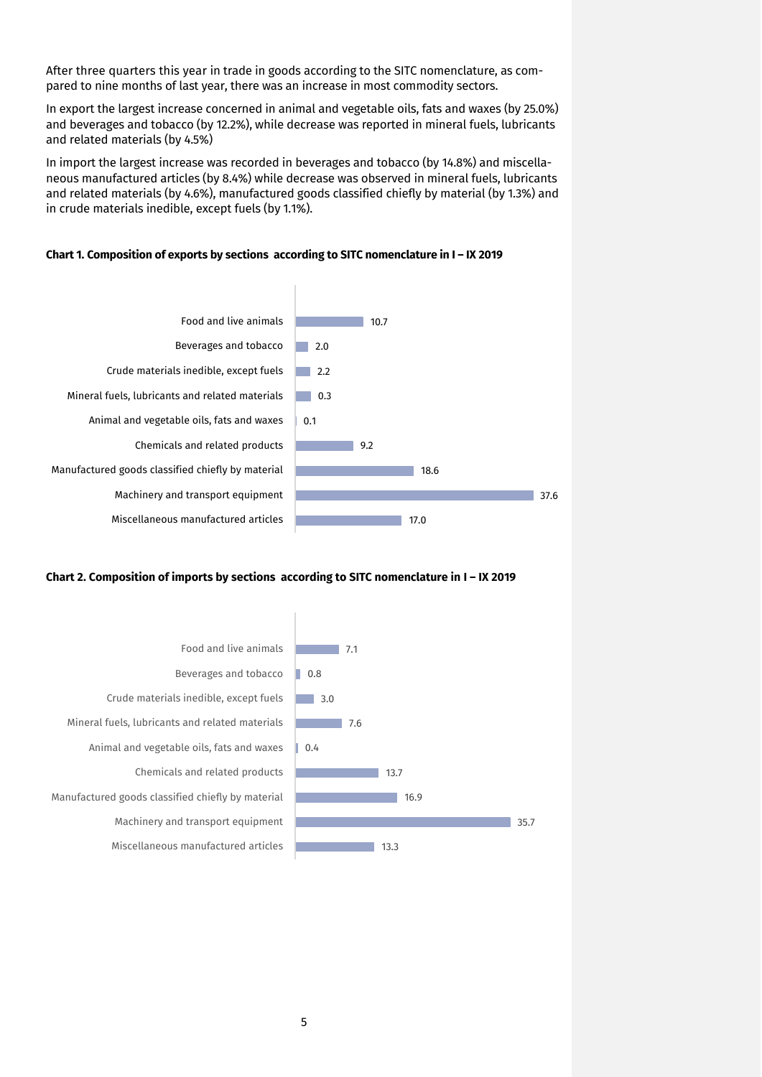After three quarters this year in trade in goods according to the SITC nomenclature, as compared to nine months of last year, there was an increase in most commodity sectors.

In export the largest increase concerned in animal and vegetable oils, fats and waxes (by 25.0%) and beverages and tobacco (by 12.2%), while decrease was reported in mineral fuels, lubricants and related materials (by 4.5%)

In import the largest increase was recorded in beverages and tobacco (by 14.8%) and miscellaneous manufactured articles (by 8.4%) while decrease was observed in mineral fuels, lubricants and related materials (by 4.6%), manufactured goods classified chiefly by material (by 1.3%) and in crude materials inedible, except fuels (by 1.1%).



#### **Chart 1. Composition of exports by sections according to SITC nomenclature in I – IX 2019**

#### **Chart 2. Composition of imports by sections according to SITC nomenclature in I – IX 2019**